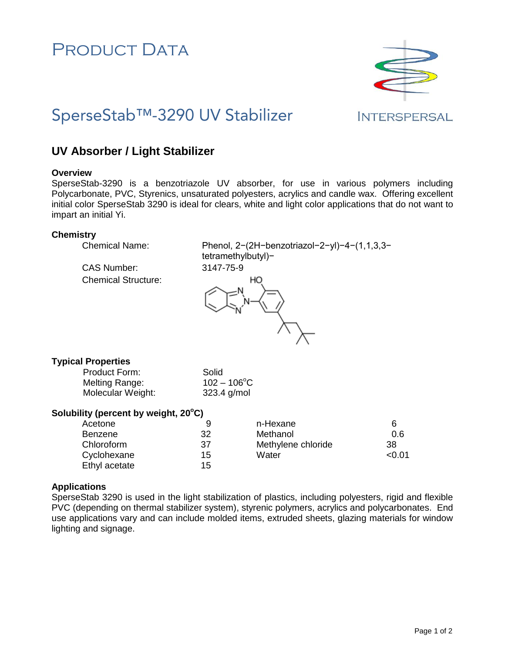# PRODUCT DATA



# SperseStab™-3290 UV Stabilizer

**INTERSPERSAL** 

# **UV Absorber / Light Stabilizer**

### **Overview**

SperseStab-3290 is a benzotriazole UV absorber, for use in various polymers including Polycarbonate, PVC, Styrenics, unsaturated polyesters, acrylics and candle wax. Offering excellent initial color SperseStab 3290 is ideal for clears, white and light color applications that do not want to impart an initial Yi.

### **Chemistry**

Chemical Name: Phenol, 2−(2H−benzotriazol−2−yl)−4−(1,1,3,3− tetramethylbutyl)−

CAS Number: 3147-75-9 Chemical Structure:



# **Typical Properties**

Product Form: Solid Melting Range:  $102 - 106^{\circ}$ C Molecular Weight: 323.4 g/mol

# **Solubility (percent by weight, 20 <sup>o</sup>C)**

| Acetone        |    | n-Hexane           | 6     |
|----------------|----|--------------------|-------|
| <b>Benzene</b> | 32 | Methanol           | 0.6   |
| Chloroform     | 37 | Methylene chloride | 38    |
| Cyclohexane    | 15 | Water              | <0.01 |
| Ethyl acetate  | 15 |                    |       |

# **Applications**

SperseStab 3290 is used in the light stabilization of plastics, including polyesters, rigid and flexible PVC (depending on thermal stabilizer system), styrenic polymers, acrylics and polycarbonates. End use applications vary and can include molded items, extruded sheets, glazing materials for window lighting and signage.